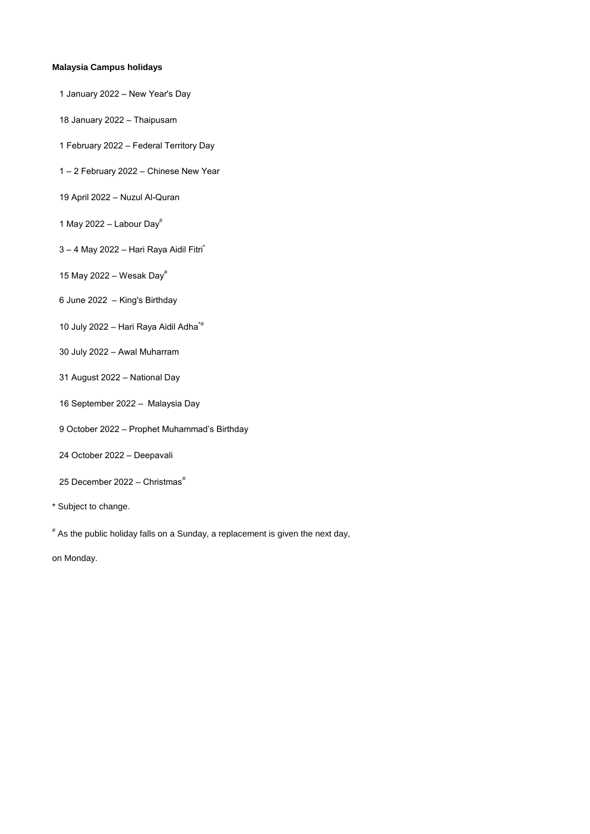- 1 January 2022 New Year's Day
- 18 January 2022 Thaipusam
- 1 February 2022 Federal Territory Day
- 1 2 February 2022 Chinese New Year
- 19 April 2022 Nuzul Al-Quran
- 1 May 2022 Labour Day $^{\#}$
- $3 4$  May 2022 Hari Raya Aidil Fitri
- 15 May 2022 Wesak Day $^{\#}$
- 6 June 2022 King's Birthday
- 10 July 2022 Hari Raya Aidil Adha\*#
- 30 July 2022 Awal Muharram
- 31 August 2022 National Day
- 16 September 2022 Malaysia Day
- 9 October 2022 Prophet Muhammad's Birthday
- 24 October 2022 Deepavali
- 25 December 2022 Christmas $*$
- \* Subject to change.

# As the public holiday falls on a Sunday, a replacement is given the next day,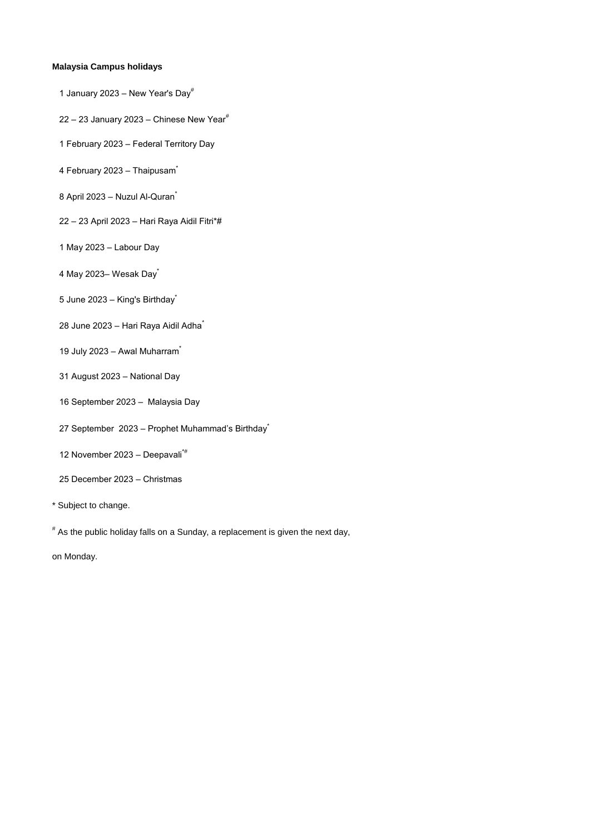- 1 January 2023 New Year's Day<sup>#</sup>
- 22 23 January 2023 Chinese New Year $#$
- 1 February 2023 Federal Territory Day
- 4 February 2023 Thaipusam<sup>\*</sup>
- 8 April 2023 Nuzul Al-Quran<sup>\*</sup>
- 22 23 April 2023 Hari Raya Aidil Fitri\*#
- 1 May 2023 Labour Day
- 4 May 2023- Wesak Day<sup>\*</sup>
- 5 June 2023 King's Birthday<sup>\*</sup>
- 28 June 2023 Hari Raya Aidil Adha<sup>\*</sup>
- 19 July 2023 Awal Muharram<sup>\*</sup>
- 31 August 2023 National Day
- 16 September 2023 Malaysia Day
- 27 September 2023 Prophet Muhammad's Birthday<sup>\*</sup>
- 12 November 2023 Deepavali\*#
- 25 December 2023 Christmas
- \* Subject to change.

# As the public holiday falls on a Sunday, a replacement is given the next day,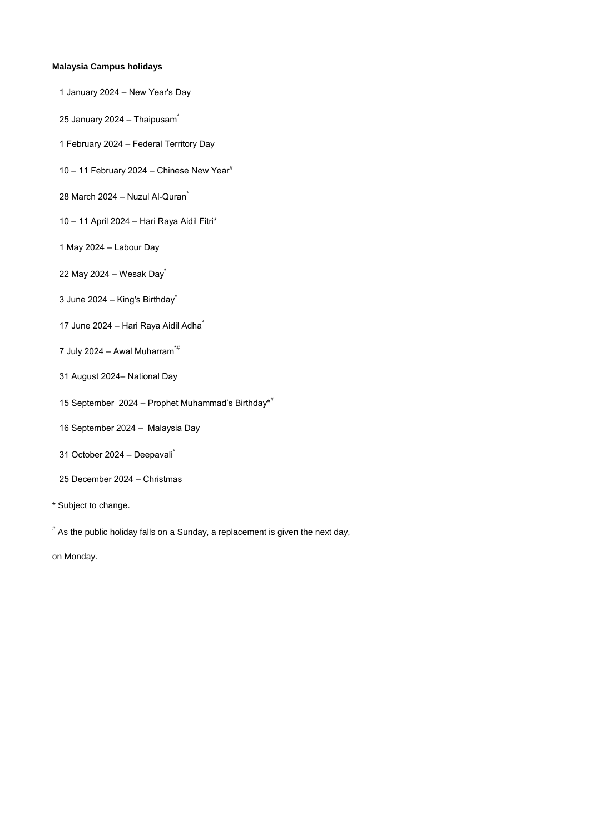- 1 January 2024 New Year's Day
- 25 January 2024 Thaipusam<sup>\*</sup>
- 1 February 2024 Federal Territory Day
- 10 11 February 2024 Chinese New Year $^{\#}$
- 28 March 2024 Nuzul Al-Quran<sup>\*</sup>
- 10 11 April 2024 Hari Raya Aidil Fitri\*
- 1 May 2024 Labour Day
- 22 May 2024 Wesak Day
- 3 June 2024 King's Birthday<sup>\*</sup>
- 17 June 2024 Hari Raya Aidil Adha<sup>\*</sup>
- 7 July 2024 Awal Muharram $*$ #
- 31 August 2024– National Day
- 15 September 2024 Prophet Muhammad's Birthday\*#
- 16 September 2024 Malaysia Day
- 31 October 2024 Deepavali<sup>\*</sup>
- 25 December 2024 Christmas
- \* Subject to change.

# As the public holiday falls on a Sunday, a replacement is given the next day,